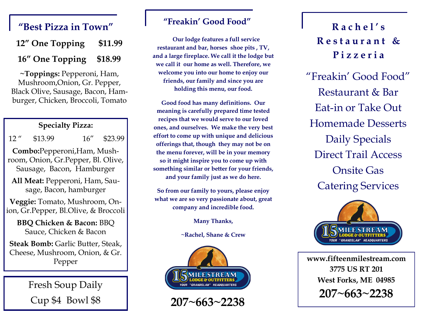## "Best Pizza in Town" and the axill Good Food **Rest Pizza in Town"**

| 12" One Topping | \$11.99 |
|-----------------|---------|
| 16" One Topping | \$18.99 |

**~Toppings:** Pepperoni, Ham, Mushroom,Onion, Gr. Pepper, Black Olive, Sausage, Bacon, Hamburger, Chicken, Broccoli, Tomato

#### **Specialty Pizza:**

|  | $12$ " | \$13.99 | 16'' | \$23.99 |
|--|--------|---------|------|---------|
|--|--------|---------|------|---------|

**Combo:**Pepperoni,Ham, Mushroom, Onion, Gr.Pepper, Bl. Olive, Sausage, Bacon, Hamburger

**All Meat:** Pepperoni, Ham, Sausage, Bacon, hamburger

**Veggie:** Tomato, Mushroom, Onion, Gr.Pepper, Bl.Olive, & Broccoli

**BBQ Chicken & Bacon:** BBQ Sauce, Chicken & Bacon

**Steak Bomb: Garlic Butter, Steak,** Cheese, Mushroom, Onion, & Gr.

> Fresh Soup Daily Cup \$4 Bowl \$8

#### **"Freakin' Good Food"**

 **Our lodge features a full service restaurant and bar, horses shoe pits , TV, and a large fireplace. We call it the lodge but we call it our home as well. Therefore, we welcome you into our home to enjoy our friends, our family and since you are holding this menu, our food.**

**Good food has many definitions. Our meaning is carefully prepared time tested recipes that we would serve to our loved ones, and ourselves. We make the very best effort to come up with unique and delicious offerings that, though they may not be on the menu forever, will be in your memory so it might inspire you to come up with something similar or better for your friends, and your family just as we do here.** 

**So from our family to yours, please enjoy what we are so very passionate about, great company and incredible food.** 

**Many Thanks,**

**~Rachel, Shane & Crew**



**207~663~2238**

# **R e s t a u r a n t & P i z z e r i a**

"Freakin' Good Food" Restaurant & Bar Eat-in or Take Out Homemade Desserts Daily Specials Direct Trail Access Onsite Gas Catering Services



Pepper **Pepper www.fifteenmilestream.com 3775 US RT 201 West Forks, ME 04985 207~663~2238**